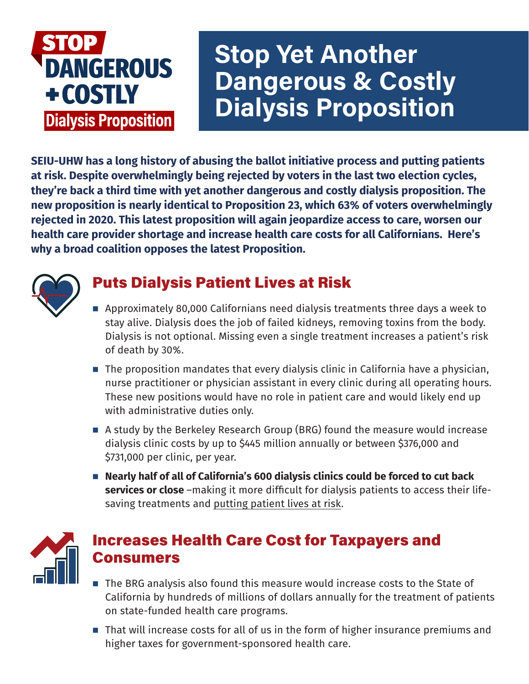# **DANGEROUS** +COSTLY **Dialysis Proposition**

# Stop Yet Another Dangerous & Costly Dialysis Proposition

**SEIU-UHW has a long history of abusing the ballot initiative process and putting patients at risk. Despite overwhelmingly being rejected by voters in the last two election cycles, they're back a third time with yet another dangerous and costly dialysis proposition. The new proposition is nearly identical to Proposition 23, which 63% of voters overwhelmingly rejected in 2020. This latest proposition will again jeopardize access to care, worsen our health care provider shortage and increase health care costs for all Californians. Here's why a broad coalition opposes the latest Proposition.**



## Puts Dialysis Patient Lives at Risk

- Approximately 80,000 Californians need dialysis treatments three days a week to stay alive. Dialysis does the job of failed kidneys, removing toxins from the body. Dialysis is not optional. Missing even a single treatment increases a patient's risk of death by 30%.
- $\blacksquare$  The proposition mandates that every dialysis clinic in California have a physician, nurse practitioner or physician assistant in every clinic during all operating hours. These new positions would have no role in patient care and would likely end up with administrative duties only.
- A study by the Berkeley Research Group (BRG) found the measure would increase dialysis clinic costs by up to \$445 million annually or between \$376,000 and \$731,000 per clinic, per year.
- Nearly half of all of California's 600 dialysis clinics could be forced to cut back **services or close** –making it more difficult for dialysis patients to access their lifesaving treatments and putting patient lives at risk.



#### Increases Health Care Cost for Taxpayers and Consumers

- The BRG analysis also found this measure would increase costs to the State of California by hundreds of millions of dollars annually for the treatment of patients on state-funded health care programs.
- That will increase costs for all of us in the form of higher insurance premiums and higher taxes for government-sponsored health care.